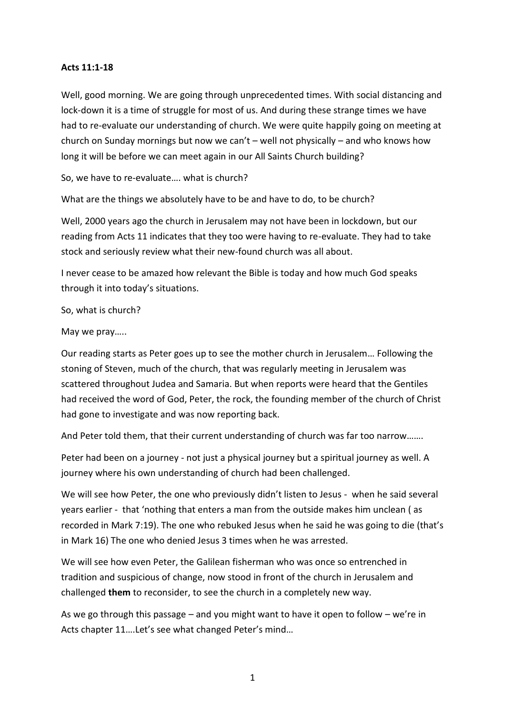## **Acts 11:1-18**

Well, good morning. We are going through unprecedented times. With social distancing and lock-down it is a time of struggle for most of us. And during these strange times we have had to re-evaluate our understanding of church. We were quite happily going on meeting at church on Sunday mornings but now we can't – well not physically – and who knows how long it will be before we can meet again in our All Saints Church building?

So, we have to re-evaluate…. what is church?

What are the things we absolutely have to be and have to do, to be church?

Well, 2000 years ago the church in Jerusalem may not have been in lockdown, but our reading from Acts 11 indicates that they too were having to re-evaluate. They had to take stock and seriously review what their new-found church was all about.

I never cease to be amazed how relevant the Bible is today and how much God speaks through it into today's situations.

So, what is church?

May we pray…..

Our reading starts as Peter goes up to see the mother church in Jerusalem… Following the stoning of Steven, much of the church, that was regularly meeting in Jerusalem was scattered throughout Judea and Samaria. But when reports were heard that the Gentiles had received the word of God, Peter, the rock, the founding member of the church of Christ had gone to investigate and was now reporting back.

And Peter told them, that their current understanding of church was far too narrow…….

Peter had been on a journey - not just a physical journey but a spiritual journey as well. A journey where his own understanding of church had been challenged.

We will see how Peter, the one who previously didn't listen to Jesus - when he said several years earlier - that 'nothing that enters a man from the outside makes him unclean ( as recorded in Mark 7:19). The one who rebuked Jesus when he said he was going to die (that's in Mark 16) The one who denied Jesus 3 times when he was arrested.

We will see how even Peter, the Galilean fisherman who was once so entrenched in tradition and suspicious of change, now stood in front of the church in Jerusalem and challenged **them** to reconsider, to see the church in a completely new way.

As we go through this passage – and you might want to have it open to follow – we're in Acts chapter 11….Let's see what changed Peter's mind…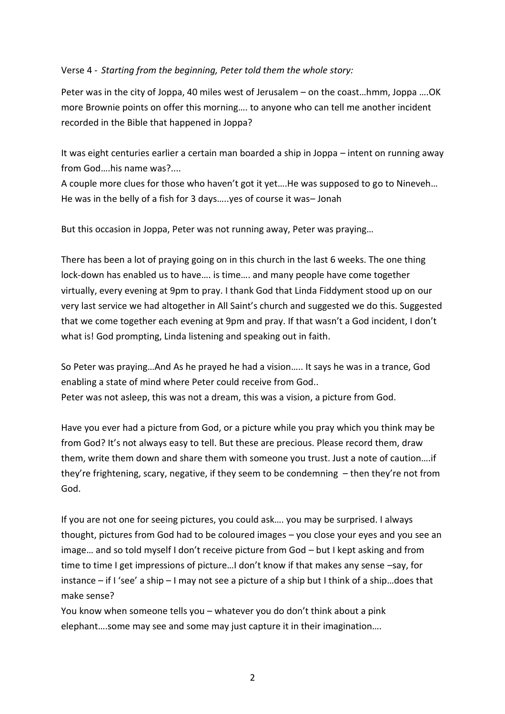## Verse 4 - *Starting from the beginning, Peter told them the whole story:*

Peter was in the city of Joppa, 40 miles west of Jerusalem – on the coast…hmm, Joppa ….OK more Brownie points on offer this morning…. to anyone who can tell me another incident recorded in the Bible that happened in Joppa?

It was eight centuries earlier a certain man boarded a ship in Joppa – intent on running away from God….his name was?....

A couple more clues for those who haven't got it yet….He was supposed to go to Nineveh… He was in the belly of a fish for 3 days…..yes of course it was– Jonah

But this occasion in Joppa, Peter was not running away, Peter was praying…

There has been a lot of praying going on in this church in the last 6 weeks. The one thing lock-down has enabled us to have…. is time…. and many people have come together virtually, every evening at 9pm to pray. I thank God that Linda Fiddyment stood up on our very last service we had altogether in All Saint's church and suggested we do this. Suggested that we come together each evening at 9pm and pray. If that wasn't a God incident, I don't what is! God prompting, Linda listening and speaking out in faith.

So Peter was praying…And As he prayed he had a vision….. It says he was in a trance, God enabling a state of mind where Peter could receive from God.. Peter was not asleep, this was not a dream, this was a vision, a picture from God.

Have you ever had a picture from God, or a picture while you pray which you think may be from God? It's not always easy to tell. But these are precious. Please record them, draw them, write them down and share them with someone you trust. Just a note of caution….if they're frightening, scary, negative, if they seem to be condemning – then they're not from God.

If you are not one for seeing pictures, you could ask…. you may be surprised. I always thought, pictures from God had to be coloured images – you close your eyes and you see an image… and so told myself I don't receive picture from God – but I kept asking and from time to time I get impressions of picture…I don't know if that makes any sense –say, for instance – if I 'see' a ship – I may not see a picture of a ship but I think of a ship…does that make sense?

You know when someone tells you – whatever you do don't think about a pink elephant….some may see and some may just capture it in their imagination….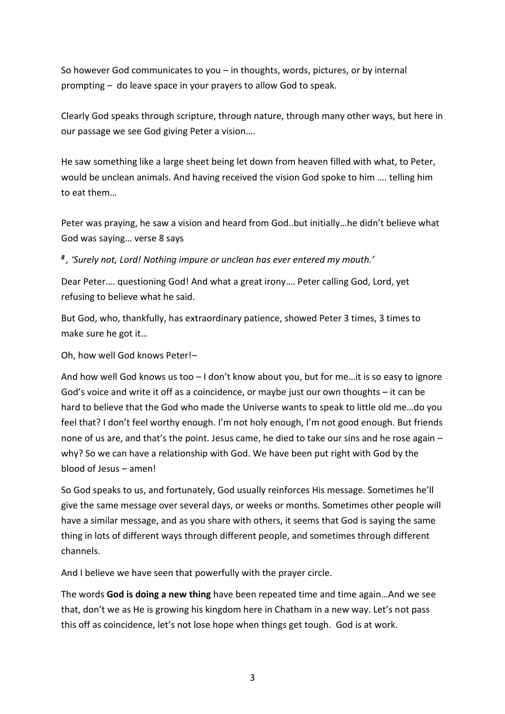So however God communicates to you – in thoughts, words, pictures, or by internal prompting – do leave space in your prayers to allow God to speak.

Clearly God speaks through scripture, through nature, through many other ways, but here in our passage we see God giving Peter a vision….

He saw something like a large sheet being let down from heaven filled with what, to Peter, would be unclean animals. And having received the vision God spoke to him …. telling him to eat them…

Peter was praying, he saw a vision and heard from God..but initially…he didn't believe what God was saying… verse 8 says

*8 , 'Surely not, Lord! Nothing impure or unclean has ever entered my mouth.'*

Dear Peter…. questioning God! And what a great irony…. Peter calling God, Lord, yet refusing to believe what he said.

But God, who, thankfully, has extraordinary patience, showed Peter 3 times, 3 times to make sure he got it…

Oh, how well God knows Peter!–

And how well God knows us too – I don't know about you, but for me…it is so easy to ignore God's voice and write it off as a coincidence, or maybe just our own thoughts – it can be hard to believe that the God who made the Universe wants to speak to little old me…do you feel that? I don't feel worthy enough. I'm not holy enough, I'm not good enough. But friends none of us are, and that's the point. Jesus came, he died to take our sins and he rose again – why? So we can have a relationship with God. We have been put right with God by the blood of Jesus – amen!

So God speaks to us, and fortunately, God usually reinforces His message. Sometimes he'll give the same message over several days, or weeks or months. Sometimes other people will have a similar message, and as you share with others, it seems that God is saying the same thing in lots of different ways through different people, and sometimes through different channels.

And I believe we have seen that powerfully with the prayer circle.

The words **God is doing a new thing** have been repeated time and time again…And we see that, don't we as He is growing his kingdom here in Chatham in a new way. Let's not pass this off as coincidence, let's not lose hope when things get tough. God is at work.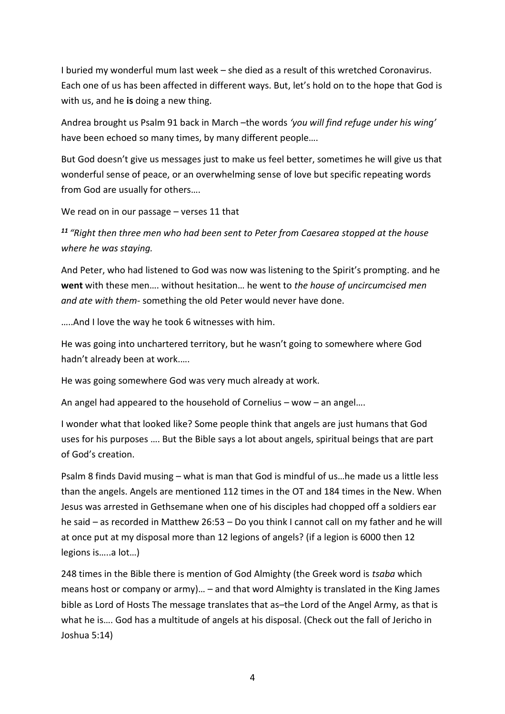I buried my wonderful mum last week – she died as a result of this wretched Coronavirus. Each one of us has been affected in different ways. But, let's hold on to the hope that God is with us, and he **is** doing a new thing.

Andrea brought us Psalm 91 back in March –the words *'you will find refuge under his wing'*  have been echoed so many times, by many different people….

But God doesn't give us messages just to make us feel better, sometimes he will give us that wonderful sense of peace, or an overwhelming sense of love but specific repeating words from God are usually for others….

We read on in our passage – verses 11 that

*<sup>11</sup> "Right then three men who had been sent to Peter from Caesarea stopped at the house where he was staying.*

And Peter, who had listened to God was now was listening to the Spirit's prompting. and he **went** with these men…. without hesitation… he went to *the house of uncircumcised men and ate with them*- something the old Peter would never have done.

…..And I love the way he took 6 witnesses with him.

He was going into unchartered territory, but he wasn't going to somewhere where God hadn't already been at work.….

He was going somewhere God was very much already at work.

An angel had appeared to the household of Cornelius – wow – an angel….

I wonder what that looked like? Some people think that angels are just humans that God uses for his purposes …. But the Bible says a lot about angels, spiritual beings that are part of God's creation.

Psalm 8 finds David musing – what is man that God is mindful of us…he made us a little less than the angels. Angels are mentioned 112 times in the OT and 184 times in the New. When Jesus was arrested in Gethsemane when one of his disciples had chopped off a soldiers ear he said – as recorded in Matthew 26:53 – Do you think I cannot call on my father and he will at once put at my disposal more than 12 legions of angels? (if a legion is 6000 then 12 legions is…..a lot…)

248 times in the Bible there is mention of God Almighty (the Greek word is *tsaba* which means host or company or army)… – and that word Almighty is translated in the King James bible as Lord of Hosts The message translates that as–the Lord of the Angel Army, as that is what he is…. God has a multitude of angels at his disposal. (Check out the fall of Jericho in Joshua 5:14)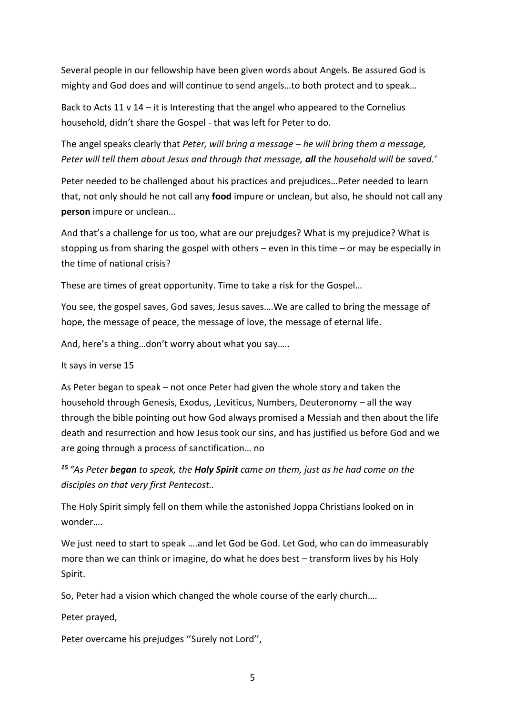Several people in our fellowship have been given words about Angels. Be assured God is mighty and God does and will continue to send angels…to both protect and to speak…

Back to Acts 11  $v$  14 – it is Interesting that the angel who appeared to the Cornelius household, didn't share the Gospel - that was left for Peter to do.

The angel speaks clearly that *Peter, will bring a message – he will bring them a message, Peter will tell them about Jesus and through that message, all the household will be saved.'*

Peter needed to be challenged about his practices and prejudices…Peter needed to learn that, not only should he not call any **food** impure or unclean, but also, he should not call any **person** impure or unclean…

And that's a challenge for us too, what are our prejudges? What is my prejudice? What is stopping us from sharing the gospel with others – even in this time – or may be especially in the time of national crisis?

These are times of great opportunity. Time to take a risk for the Gospel…

You see, the gospel saves, God saves, Jesus saves….We are called to bring the message of hope, the message of peace, the message of love, the message of eternal life.

And, here's a thing…don't worry about what you say…..

It says in verse 15

As Peter began to speak – not once Peter had given the whole story and taken the household through Genesis, Exodus, ,Leviticus, Numbers, Deuteronomy – all the way through the bible pointing out how God always promised a Messiah and then about the life death and resurrection and how Jesus took our sins, and has justified us before God and we are going through a process of sanctification… no

*<sup>15</sup> "As Peter began to speak, the Holy Spirit came on them, just as he had come on the disciples on that very first Pentecost..*

The Holy Spirit simply fell on them while the astonished Joppa Christians looked on in wonder….

We just need to start to speak ….and let God be God. Let God, who can do immeasurably more than we can think or imagine, do what he does best – transform lives by his Holy Spirit.

So, Peter had a vision which changed the whole course of the early church….

Peter prayed,

Peter overcame his prejudges ''Surely not Lord'',